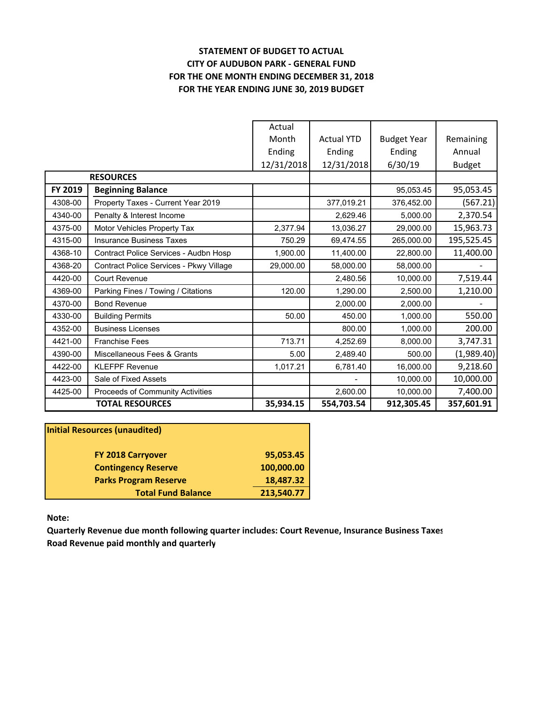# **STATEMENT OF BUDGET TO ACTUAL CITY OF AUDUBON PARK ‐ GENERAL FUND FOR THE ONE MONTH ENDING DECEMBER 31, 2018 FOR THE YEAR ENDING JUNE 30, 2019 BUDGET**

|         |                                         | Actual     |                   |                    |               |
|---------|-----------------------------------------|------------|-------------------|--------------------|---------------|
|         |                                         | Month      | <b>Actual YTD</b> | <b>Budget Year</b> | Remaining     |
|         |                                         | Ending     | Ending            | Ending             | Annual        |
|         |                                         | 12/31/2018 | 12/31/2018        | 6/30/19            | <b>Budget</b> |
|         | <b>RESOURCES</b>                        |            |                   |                    |               |
| FY 2019 | <b>Beginning Balance</b>                |            |                   | 95,053.45          | 95,053.45     |
| 4308-00 | Property Taxes - Current Year 2019      |            | 377,019.21        | 376,452.00         | (567.21)      |
| 4340-00 | Penalty & Interest Income               |            | 2,629.46          | 5,000.00           | 2,370.54      |
| 4375-00 | Motor Vehicles Property Tax             | 2,377.94   | 13,036.27         | 29,000.00          | 15,963.73     |
| 4315-00 | <b>Insurance Business Taxes</b>         | 750.29     | 69,474.55         | 265,000.00         | 195,525.45    |
| 4368-10 | Contract Police Services - Audbn Hosp   | 1,900.00   | 11,400.00         | 22,800.00          | 11,400.00     |
| 4368-20 | Contract Police Services - Pkwy Village | 29,000.00  | 58,000.00         | 58,000.00          |               |
| 4420-00 | Court Revenue                           |            | 2,480.56          | 10,000.00          | 7,519.44      |
| 4369-00 | Parking Fines / Towing / Citations      | 120.00     | 1.290.00          | 2,500.00           | 1,210.00      |
| 4370-00 | <b>Bond Revenue</b>                     |            | 2,000.00          | 2,000.00           |               |
| 4330-00 | <b>Building Permits</b>                 | 50.00      | 450.00            | 1,000.00           | 550.00        |
| 4352-00 | <b>Business Licenses</b>                |            | 800.00            | 1,000.00           | 200.00        |
| 4421-00 | <b>Franchise Fees</b>                   | 713.71     | 4,252.69          | 8,000.00           | 3,747.31      |
| 4390-00 | Miscellaneous Fees & Grants             | 5.00       | 2,489.40          | 500.00             | (1,989.40)    |
| 4422-00 | <b>KLEFPF Revenue</b>                   | 1,017.21   | 6,781.40          | 16,000.00          | 9,218.60      |
| 4423-00 | Sale of Fixed Assets                    |            |                   | 10,000.00          | 10,000.00     |
| 4425-00 | Proceeds of Community Activities        |            | 2,600.00          | 10,000.00          | 7,400.00      |
|         | <b>TOTAL RESOURCES</b>                  | 35,934.15  | 554,703.54        | 912,305.45         | 357,601.91    |

| <b>Initial Resources (unaudited)</b> |            |
|--------------------------------------|------------|
| <b>FY 2018 Carryover</b>             | 95,053.45  |
| <b>Contingency Reserve</b>           | 100,000.00 |
| <b>Parks Program Reserve</b>         | 18,487.32  |
| <b>Total Fund Balance</b>            | 213,540.77 |

**Note:**

**Quarterly Revenue due month following quarter includes: Court Revenue, Insurance Business Taxes Road Revenue paid monthly and quarterly**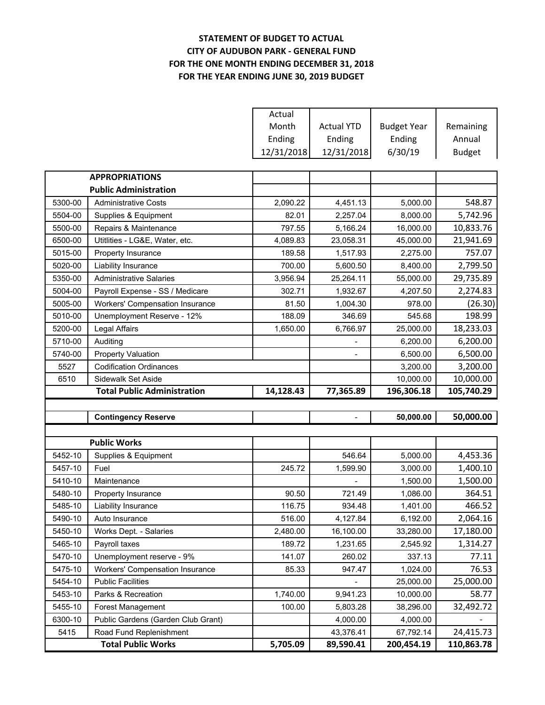## **STATEMENT OF BUDGET TO ACTUAL CITY OF AUDUBON PARK ‐ GENERAL FUND FOR THE ONE MONTH ENDING DECEMBER 31, 2018 FOR THE YEAR ENDING JUNE 30, 2019 BUDGET**

|         |                                    | Actual     |                   |                    |               |
|---------|------------------------------------|------------|-------------------|--------------------|---------------|
|         |                                    | Month      | <b>Actual YTD</b> | <b>Budget Year</b> | Remaining     |
|         |                                    | Ending     | Ending            | Ending             | Annual        |
|         |                                    | 12/31/2018 | 12/31/2018        | 6/30/19            | <b>Budget</b> |
|         |                                    |            |                   |                    |               |
|         | <b>APPROPRIATIONS</b>              |            |                   |                    |               |
|         | <b>Public Administration</b>       |            |                   |                    |               |
| 5300-00 | <b>Administrative Costs</b>        | 2,090.22   | 4,451.13          | 5,000.00           | 548.87        |
| 5504-00 | Supplies & Equipment               | 82.01      | 2,257.04          | 8,000.00           | 5,742.96      |
| 5500-00 | Repairs & Maintenance              | 797.55     | 5,166.24          | 16,000.00          | 10,833.76     |
| 6500-00 | Utitlities - LG&E, Water, etc.     | 4,089.83   | 23,058.31         | 45,000.00          | 21,941.69     |
| 5015-00 | Property Insurance                 | 189.58     | 1,517.93          | 2,275.00           | 757.07        |
| 5020-00 | Liability Insurance                | 700.00     | 5,600.50          | 8,400.00           | 2,799.50      |
| 5350-00 | <b>Administrative Salaries</b>     | 3,956.94   | 25,264.11         | 55,000.00          | 29,735.89     |
| 5004-00 | Payroll Expense - SS / Medicare    | 302.71     | 1,932.67          | 4,207.50           | 2,274.83      |
| 5005-00 | Workers' Compensation Insurance    | 81.50      | 1,004.30          | 978.00             | (26.30)       |
| 5010-00 | Unemployment Reserve - 12%         | 188.09     | 346.69            | 545.68             | 198.99        |
| 5200-00 | Legal Affairs                      | 1,650.00   | 6,766.97          | 25,000.00          | 18,233.03     |
| 5710-00 | Auditing                           |            |                   | 6,200.00           | 6,200.00      |
| 5740-00 | <b>Property Valuation</b>          |            |                   | 6,500.00           | 6,500.00      |
| 5527    | <b>Codification Ordinances</b>     |            |                   | 3,200.00           | 3,200.00      |
| 6510    | Sidewalk Set Aside                 |            |                   | 10,000.00          | 10,000.00     |
|         |                                    |            |                   |                    |               |
|         | <b>Total Public Administration</b> | 14,128.43  | 77,365.89         | 196,306.18         | 105,740.29    |
|         |                                    |            |                   |                    |               |
|         | <b>Contingency Reserve</b>         |            |                   | 50,000.00          | 50,000.00     |
|         |                                    |            |                   |                    |               |
|         | <b>Public Works</b>                |            |                   |                    |               |
| 5452-10 | Supplies & Equipment               |            | 546.64            | 5,000.00           | 4,453.36      |
| 5457-10 | Fuel                               | 245.72     | 1,599.90          | 3,000.00           | 1,400.10      |
| 5410-10 | Maintenance                        |            |                   | 1,500.00           | 1,500.00      |
| 5480-10 | Property Insurance                 | 90.50      | 721.49            | 1,086.00           | 364.51        |
| 5485-10 | Liability Insurance                | 116.75     | 934.48            | 1,401.00           | 466.52        |
| 5490-10 | Auto Insurance                     | 516.00     | 4,127.84          | 6,192.00           | 2,064.16      |
| 5450-10 | Works Dept. - Salaries             | 2,480.00   | 16,100.00         | 33,280.00          | 17,180.00     |
| 5465-10 | Payroll taxes                      | 189.72     | 1,231.65          | 2,545.92           | 1,314.27      |
| 5470-10 | Unemployment reserve - 9%          | 141.07     | 260.02            | 337.13             | 77.11         |
| 5475-10 | Workers' Compensation Insurance    | 85.33      | 947.47            | 1,024.00           | 76.53         |
| 5454-10 | <b>Public Facilities</b>           |            |                   | 25,000.00          | 25,000.00     |
| 5453-10 | Parks & Recreation                 | 1,740.00   | 9,941.23          | 10,000.00          | 58.77         |
| 5455-10 | Forest Management                  | 100.00     | 5,803.28          | 38,296.00          | 32,492.72     |
| 6300-10 | Public Gardens (Garden Club Grant) |            | 4,000.00          | 4,000.00           |               |
| 5415    | Road Fund Replenishment            |            | 43,376.41         | 67,792.14          | 24,415.73     |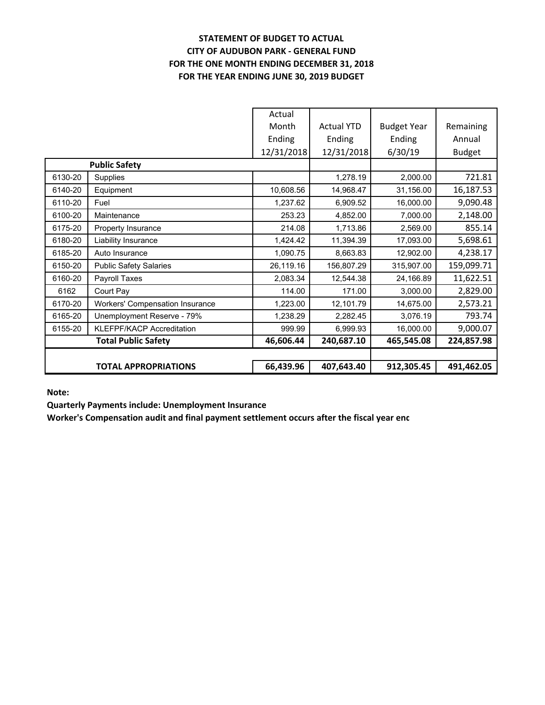# **STATEMENT OF BUDGET TO ACTUAL CITY OF AUDUBON PARK ‐ GENERAL FUND FOR THE ONE MONTH ENDING DECEMBER 31, 2018 FOR THE YEAR ENDING JUNE 30, 2019 BUDGET**

|         |                                        | Actual     |                   |                    |               |
|---------|----------------------------------------|------------|-------------------|--------------------|---------------|
|         |                                        | Month      | <b>Actual YTD</b> | <b>Budget Year</b> | Remaining     |
|         |                                        | Ending     | Ending            | Ending             | Annual        |
|         |                                        | 12/31/2018 | 12/31/2018        | 6/30/19            | <b>Budget</b> |
|         | <b>Public Safety</b>                   |            |                   |                    |               |
| 6130-20 | Supplies                               |            | 1,278.19          | 2,000.00           | 721.81        |
| 6140-20 | Equipment                              | 10,608.56  | 14,968.47         | 31,156.00          | 16,187.53     |
| 6110-20 | Fuel                                   | 1,237.62   | 6,909.52          | 16,000.00          | 9,090.48      |
| 6100-20 | Maintenance                            | 253.23     | 4,852.00          | 7,000.00           | 2,148.00      |
| 6175-20 | Property Insurance                     | 214.08     | 1,713.86          | 2,569.00           | 855.14        |
| 6180-20 | Liability Insurance                    | 1,424.42   | 11,394.39         | 17,093.00          | 5,698.61      |
| 6185-20 | Auto Insurance                         | 1,090.75   | 8,663.83          | 12,902.00          | 4,238.17      |
| 6150-20 | <b>Public Safety Salaries</b>          | 26,119.16  | 156,807.29        | 315,907.00         | 159,099.71    |
| 6160-20 | Payroll Taxes                          | 2,083.34   | 12,544.38         | 24,166.89          | 11,622.51     |
| 6162    | Court Pay                              | 114.00     | 171.00            | 3,000.00           | 2,829.00      |
| 6170-20 | <b>Workers' Compensation Insurance</b> | 1,223.00   | 12,101.79         | 14,675.00          | 2,573.21      |
| 6165-20 | Unemployment Reserve - 79%             | 1,238.29   | 2,282.45          | 3,076.19           | 793.74        |
| 6155-20 | <b>KLEFPF/KACP Accreditation</b>       | 999.99     | 6,999.93          | 16,000.00          | 9,000.07      |
|         | <b>Total Public Safety</b>             | 46,606.44  | 240,687.10        | 465,545.08         | 224,857.98    |
|         |                                        |            |                   |                    |               |
|         | <b>TOTAL APPROPRIATIONS</b>            | 66,439.96  | 407,643.40        | 912,305.45         | 491,462.05    |

**Note:**

**Quarterly Payments include: Unemployment Insurance**

**Worker's Compensation audit and final payment settlement occurs after the fiscal year end**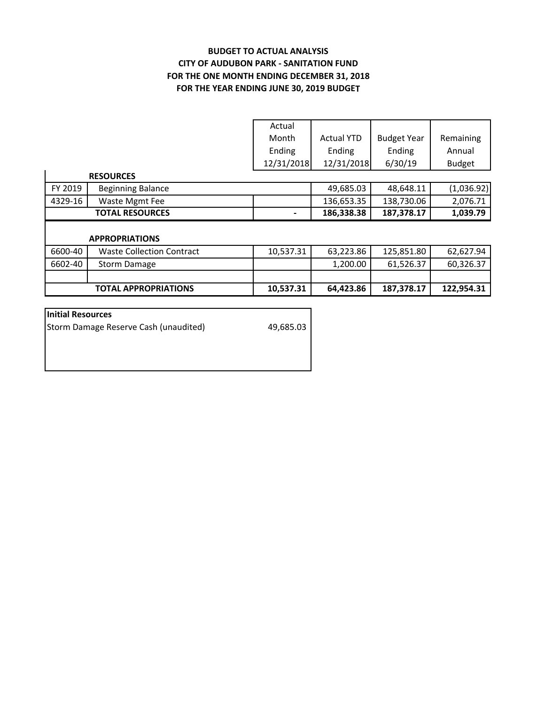## **BUDGET TO ACTUAL ANALYSIS CITY OF AUDUBON PARK ‐ SANITATION FUND FOR THE YEAR ENDING JUNE 30, 2019 BUDGET FOR THE ONE MONTH ENDING DECEMBER 31, 2018**

|         |                                  | Actual     |                   |                    |               |
|---------|----------------------------------|------------|-------------------|--------------------|---------------|
|         |                                  | Month      | <b>Actual YTD</b> | <b>Budget Year</b> | Remaining     |
|         |                                  | Ending     | Ending            | Ending             | Annual        |
|         |                                  | 12/31/2018 | 12/31/2018        | 6/30/19            | <b>Budget</b> |
|         | <b>RESOURCES</b>                 |            |                   |                    |               |
| FY 2019 | <b>Beginning Balance</b>         |            | 49,685.03         | 48,648.11          | (1,036.92)    |
| 4329-16 | Waste Mgmt Fee                   |            | 136,653.35        | 138,730.06         | 2,076.71      |
|         | <b>TOTAL RESOURCES</b>           |            | 186,338.38        | 187,378.17         | 1,039.79      |
|         |                                  |            |                   |                    |               |
|         | <b>APPROPRIATIONS</b>            |            |                   |                    |               |
| 6600-40 | <b>Waste Collection Contract</b> | 10,537.31  | 63,223.86         | 125,851.80         | 62,627.94     |
| 6602-40 | Storm Damage                     |            | 1,200.00          | 61,526.37          | 60,326.37     |
|         |                                  |            |                   |                    |               |
|         | <b>TOTAL APPROPRIATIONS</b>      | 10,537.31  | 64,423.86         | 187,378.17         | 122,954.31    |

| 49,685.03 |
|-----------|
|           |
|           |
|           |
|           |